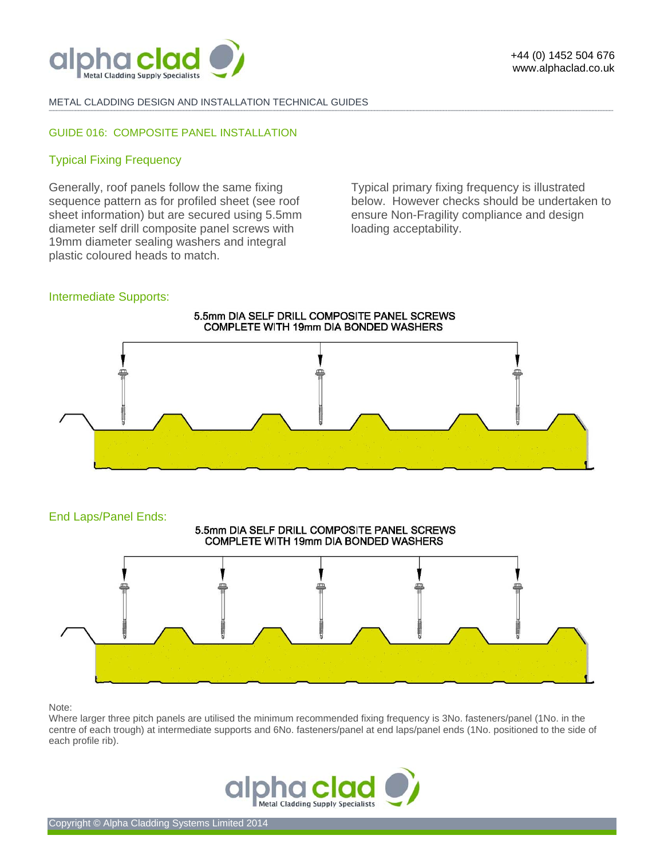

### METAL CLADDING DESIGN AND INSTALLATION TECHNICAL GUIDES

## GUIDE 016: COMPOSITE PANEL INSTALLATION

# Typical Fixing Frequency

Generally, roof panels follow the same fixing sequence pattern as for profiled sheet (see roof sheet information) but are secured using 5.5mm diameter self drill composite panel screws with 19mm diameter sealing washers and integral plastic coloured heads to match.

Typical primary fixing frequency is illustrated below. However checks should be undertaken to ensure Non-Fragility compliance and design loading acceptability.

### Intermediate Supports:



**-------------------------------------------------------------------------------------------------------------------------------------------------------------------------------------------------------------------------------------------------------------------------------------------------------------------------------------------------------------------------------------------------------** 



End Laps/Panel Ends:



Note:

Where larger three pitch panels are utilised the minimum recommended fixing frequency is 3No. fasteners/panel (1No. in the centre of each trough) at intermediate supports and 6No. fasteners/panel at end laps/panel ends (1No. positioned to the side of each profile rib).

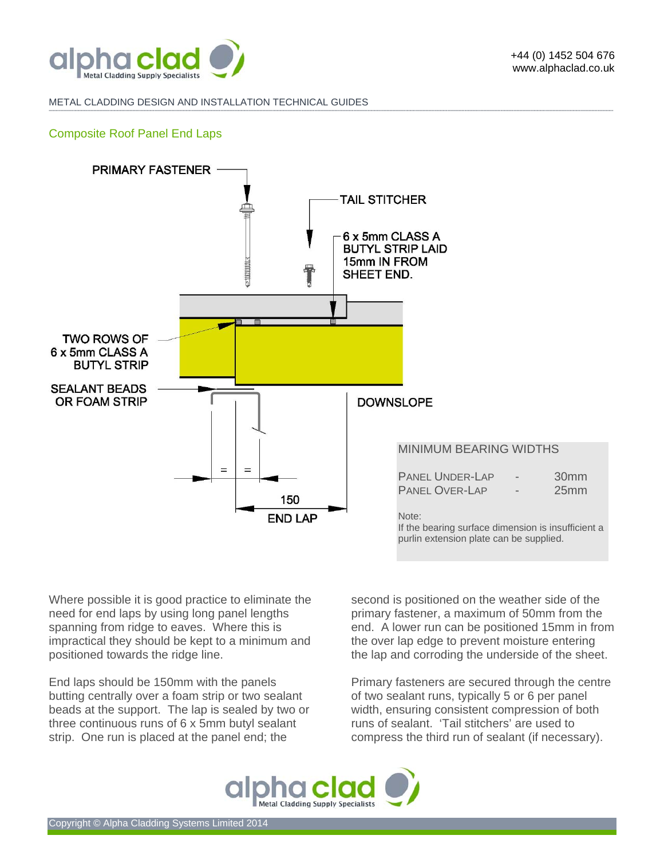

#### METAL CLADDING DESIGN AND INSTALLATION TECHNICAL GUIDES **-------------------------------------------------------------------------------------------------------------------------------------------------------------------------------------------------------------------------------------------------------------------------------------------------------------------------------------------------------------------------------------------------------**

## Composite Roof Panel End Laps



Where possible it is good practice to eliminate the need for end laps by using long panel lengths spanning from ridge to eaves. Where this is impractical they should be kept to a minimum and positioned towards the ridge line.

End laps should be 150mm with the panels butting centrally over a foam strip or two sealant beads at the support. The lap is sealed by two or three continuous runs of 6 x 5mm butyl sealant strip. One run is placed at the panel end; the

second is positioned on the weather side of the primary fastener, a maximum of 50mm from the end. A lower run can be positioned 15mm in from the over lap edge to prevent moisture entering the lap and corroding the underside of the sheet.

Primary fasteners are secured through the centre of two sealant runs, typically 5 or 6 per panel width, ensuring consistent compression of both runs of sealant. 'Tail stitchers' are used to compress the third run of sealant (if necessary).